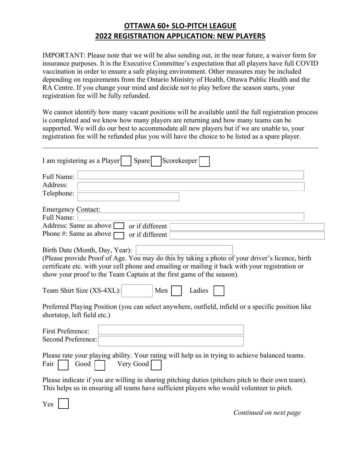## **OTTAWA 60+ SLO-PITCH LEAGUE 2022 REGISTRATION APPLICATION: NEW PLAYERS**

IMPORTANT: Please note that we will be also sending out, in the near future, a waiver form for insurance purposes. It is the Executive Committee's expectation that all players have full COVID vaccination in order to ensure a safe playing environment. Other measures may be included depending on requirements from the Ontario Ministry of Health, Ottawa Public Health and the RA Centre. If you change your mind and decide not to play before the season starts, your registration fee will be fully refunded.

We cannot identify how many vacant positions will be available until the full registration process is completed and we know how many players are returning and how many teams can be supported. We will do our best to accommodate all new players but if we are unable to, your registration fee will be refunded plus you will have the choice to be listed as a spare player.

 $\mathcal{L}_\mathcal{L} = \mathcal{L}_\mathcal{L} = \mathcal{L}_\mathcal{L} = \mathcal{L}_\mathcal{L} = \mathcal{L}_\mathcal{L} = \mathcal{L}_\mathcal{L} = \mathcal{L}_\mathcal{L} = \mathcal{L}_\mathcal{L} = \mathcal{L}_\mathcal{L} = \mathcal{L}_\mathcal{L} = \mathcal{L}_\mathcal{L} = \mathcal{L}_\mathcal{L} = \mathcal{L}_\mathcal{L} = \mathcal{L}_\mathcal{L} = \mathcal{L}_\mathcal{L} = \mathcal{L}_\mathcal{L} = \mathcal{L}_\mathcal{L}$ 

| I am registering as a Player<br>Scorekeeper<br>Spare                                                                                                                                                                                                                                                                                                        |
|-------------------------------------------------------------------------------------------------------------------------------------------------------------------------------------------------------------------------------------------------------------------------------------------------------------------------------------------------------------|
| Full Name:<br>Address:<br>Telephone:                                                                                                                                                                                                                                                                                                                        |
| <b>Emergency Contact:</b><br>Full Name:<br>Address: Same as above [<br>or if different<br>Phone #: Same as above<br>or if different                                                                                                                                                                                                                         |
| Birth Date (Month, Day, Year):<br>(Please provide Proof of Age. You may do this by taking a photo of your driver's licence, birth<br>certificate etc. with your cell phone and emailing or mailing it back with your registration or<br>show your proof to the Team Captain at the first game of the season).<br>Team Shirt Size (XS-4XL):<br>Men<br>Ladies |
| Preferred Playing Position (you can select anywhere, outfield, infield or a specific position like<br>shortstop, left field etc.)                                                                                                                                                                                                                           |
| <b>First Preference:</b><br><b>Second Preference:</b>                                                                                                                                                                                                                                                                                                       |
| Please rate your playing ability. Your rating will help us in trying to achieve balanced teams.<br>Very Good<br>Fair<br>Good                                                                                                                                                                                                                                |
| Please indicate if you are willing in sharing pitching duties (pitchers pitch to their own team).<br>This helps us in ensuring all teams have sufficient players who would volunteer to pitch.                                                                                                                                                              |

Yes

*Continued on next page*